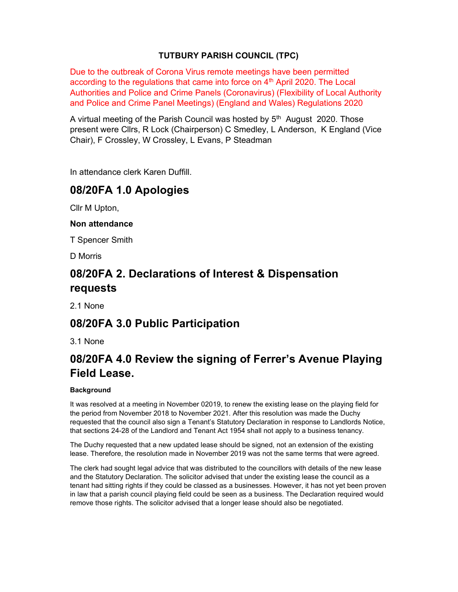## TUTBURY PARISH COUNCIL (TPC)

Due to the outbreak of Corona Virus remote meetings have been permitted according to the regulations that came into force on  $4<sup>th</sup>$  April 2020. The Local Authorities and Police and Crime Panels (Coronavirus) (Flexibility of Local Authority and Police and Crime Panel Meetings) (England and Wales) Regulations 2020

A virtual meeting of the Parish Council was hosted by  $5<sup>th</sup>$  August 2020. Those present were Cllrs, R Lock (Chairperson) C Smedley, L Anderson, K England (Vice Chair), F Crossley, W Crossley, L Evans, P Steadman

In attendance clerk Karen Duffill.

## 08/20FA 1.0 Apologies

Cllr M Upton,

### Non attendance

T Spencer Smith

D Morris

# 08/20FA 2. Declarations of Interest & Dispensation requests

2.1 None

## 08/20FA 3.0 Public Participation

3.1 None

# 08/20FA 4.0 Review the signing of Ferrer's Avenue Playing Field Lease.

### **Background**

It was resolved at a meeting in November 02019, to renew the existing lease on the playing field for the period from November 2018 to November 2021. After this resolution was made the Duchy requested that the council also sign a Tenant's Statutory Declaration in response to Landlords Notice, that sections 24-28 of the Landlord and Tenant Act 1954 shall not apply to a business tenancy.

The Duchy requested that a new updated lease should be signed, not an extension of the existing lease. Therefore, the resolution made in November 2019 was not the same terms that were agreed.

The clerk had sought legal advice that was distributed to the councillors with details of the new lease and the Statutory Declaration. The solicitor advised that under the existing lease the council as a tenant had sitting rights if they could be classed as a businesses. However, it has not yet been proven in law that a parish council playing field could be seen as a business. The Declaration required would remove those rights. The solicitor advised that a longer lease should also be negotiated.